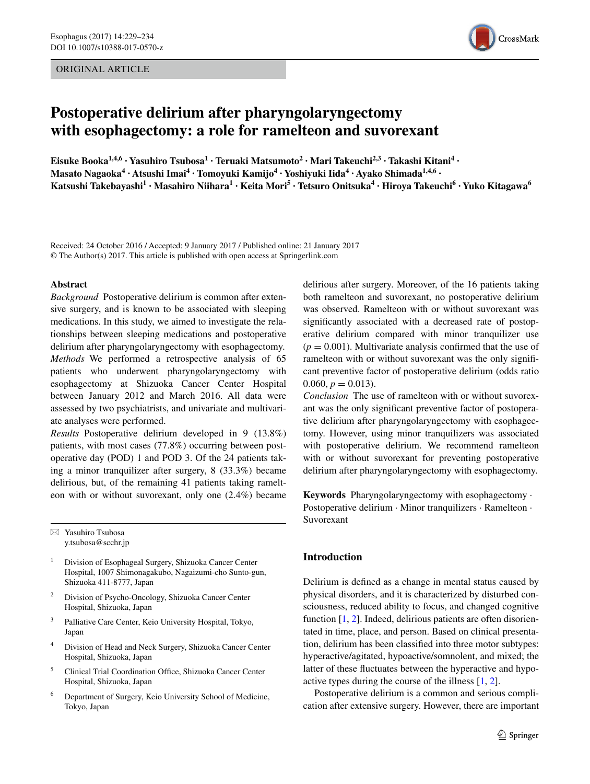# ORIGINAL ARTICLE



# **Postoperative delirium after pharyngolaryngectomy with esophagectomy: a role for ramelteon and suvorexant**

**Eisuke Booka1,4,6 · Yasuhiro Tsubosa1 · Teruaki Matsumoto2 · Mari Takeuchi2,3 · Takashi Kitani4 · Masato Nagaoka<sup>4</sup> · Atsushi Imai4 · Tomoyuki Kamijo4 · Yoshiyuki Iida4 · Ayako Shimada1,4,6 · Katsushi Takebayashi<sup>1</sup> · Masahiro Niihara1 · Keita Mori5 · Tetsuro Onitsuka4 · Hiroya Takeuchi6 · Yuko Kitagawa6**

Received: 24 October 2016 / Accepted: 9 January 2017 / Published online: 21 January 2017 © The Author(s) 2017. This article is published with open access at Springerlink.com

#### **Abstract**

*Background* Postoperative delirium is common after extensive surgery, and is known to be associated with sleeping medications. In this study, we aimed to investigate the relationships between sleeping medications and postoperative delirium after pharyngolaryngectomy with esophagectomy. *Methods* We performed a retrospective analysis of 65 patients who underwent pharyngolaryngectomy with esophagectomy at Shizuoka Cancer Center Hospital between January 2012 and March 2016. All data were assessed by two psychiatrists, and univariate and multivariate analyses were performed.

*Results* Postoperative delirium developed in 9 (13.8%) patients, with most cases (77.8%) occurring between postoperative day (POD) 1 and POD 3. Of the 24 patients taking a minor tranquilizer after surgery, 8 (33.3%) became delirious, but, of the remaining 41 patients taking ramelteon with or without suvorexant, only one (2.4%) became

 $\boxtimes$  Yasuhiro Tsubosa y.tsubosa@scchr.jp

- <sup>1</sup> Division of Esophageal Surgery, Shizuoka Cancer Center Hospital, 1007 Shimonagakubo, Nagaizumi-cho Sunto-gun, Shizuoka 411-8777, Japan
- <sup>2</sup> Division of Psycho-Oncology, Shizuoka Cancer Center Hospital, Shizuoka, Japan
- <sup>3</sup> Palliative Care Center, Keio University Hospital, Tokyo, Japan
- <sup>4</sup> Division of Head and Neck Surgery, Shizuoka Cancer Center Hospital, Shizuoka, Japan
- <sup>5</sup> Clinical Trial Coordination Office, Shizuoka Cancer Center Hospital, Shizuoka, Japan
- <sup>6</sup> Department of Surgery, Keio University School of Medicine, Tokyo, Japan

delirious after surgery. Moreover, of the 16 patients taking both ramelteon and suvorexant, no postoperative delirium was observed. Ramelteon with or without suvorexant was signifcantly associated with a decreased rate of postoperative delirium compared with minor tranquilizer use  $(p = 0.001)$ . Multivariate analysis confirmed that the use of ramelteon with or without suvorexant was the only signifcant preventive factor of postoperative delirium (odds ratio 0.060,  $p = 0.013$ ).

*Conclusion* The use of ramelteon with or without suvorexant was the only signifcant preventive factor of postoperative delirium after pharyngolaryngectomy with esophagectomy. However, using minor tranquilizers was associated with postoperative delirium. We recommend ramelteon with or without suvorexant for preventing postoperative delirium after pharyngolaryngectomy with esophagectomy.

**Keywords** Pharyngolaryngectomy with esophagectomy · Postoperative delirium · Minor tranquilizers · Ramelteon · Suvorexant

# **Introduction**

Delirium is defned as a change in mental status caused by physical disorders, and it is characterized by disturbed consciousness, reduced ability to focus, and changed cognitive function [\[1](#page-5-0), [2](#page-5-1)]. Indeed, delirious patients are often disorientated in time, place, and person. Based on clinical presentation, delirium has been classifed into three motor subtypes: hyperactive/agitated, hypoactive/somnolent, and mixed; the latter of these fuctuates between the hyperactive and hypoactive types during the course of the illness [[1,](#page-5-0) [2\]](#page-5-1).

Postoperative delirium is a common and serious complication after extensive surgery. However, there are important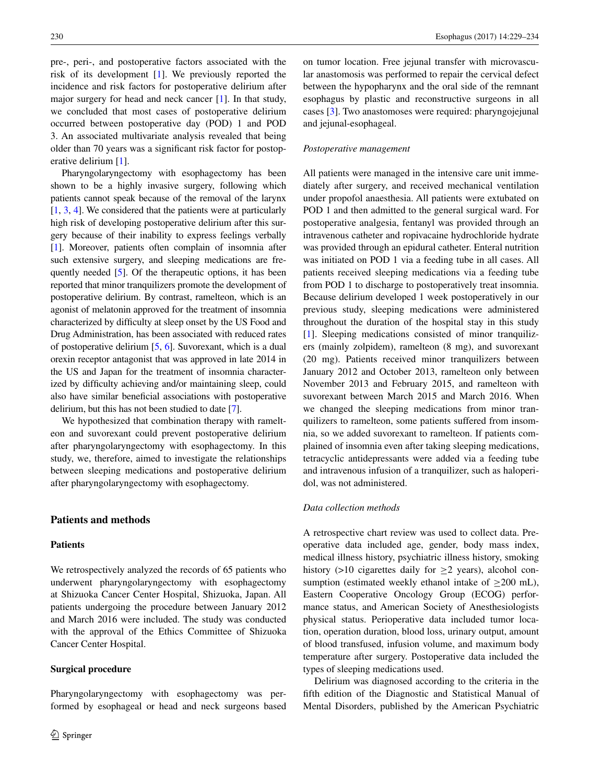pre-, peri-, and postoperative factors associated with the risk of its development [\[1](#page-5-0)]. We previously reported the incidence and risk factors for postoperative delirium after major surgery for head and neck cancer [\[1](#page-5-0)]. In that study, we concluded that most cases of postoperative delirium occurred between postoperative day (POD) 1 and POD 3. An associated multivariate analysis revealed that being older than 70 years was a signifcant risk factor for postoperative delirium [\[1](#page-5-0)].

Pharyngolaryngectomy with esophagectomy has been shown to be a highly invasive surgery, following which patients cannot speak because of the removal of the larynx [\[1](#page-5-0), [3](#page-5-2), [4](#page-5-3)]. We considered that the patients were at particularly high risk of developing postoperative delirium after this surgery because of their inability to express feelings verbally [\[1](#page-5-0)]. Moreover, patients often complain of insomnia after such extensive surgery, and sleeping medications are frequently needed [[5\]](#page-5-4). Of the therapeutic options, it has been reported that minor tranquilizers promote the development of postoperative delirium. By contrast, ramelteon, which is an agonist of melatonin approved for the treatment of insomnia characterized by diffculty at sleep onset by the US Food and Drug Administration, has been associated with reduced rates of postoperative delirium [\[5](#page-5-4), [6](#page-5-5)]. Suvorexant, which is a dual orexin receptor antagonist that was approved in late 2014 in the US and Japan for the treatment of insomnia characterized by diffculty achieving and/or maintaining sleep, could also have similar benefcial associations with postoperative delirium, but this has not been studied to date [[7\]](#page-5-6).

We hypothesized that combination therapy with ramelteon and suvorexant could prevent postoperative delirium after pharyngolaryngectomy with esophagectomy. In this study, we, therefore, aimed to investigate the relationships between sleeping medications and postoperative delirium after pharyngolaryngectomy with esophagectomy.

# **Patients and methods**

# **Patients**

We retrospectively analyzed the records of 65 patients who underwent pharyngolaryngectomy with esophagectomy at Shizuoka Cancer Center Hospital, Shizuoka, Japan. All patients undergoing the procedure between January 2012 and March 2016 were included. The study was conducted with the approval of the Ethics Committee of Shizuoka Cancer Center Hospital.

## **Surgical procedure**

on tumor location. Free jejunal transfer with microvascular anastomosis was performed to repair the cervical defect between the hypopharynx and the oral side of the remnant esophagus by plastic and reconstructive surgeons in all cases [[3\]](#page-5-2). Two anastomoses were required: pharyngojejunal and jejunal-esophageal.

#### *Postoperative management*

All patients were managed in the intensive care unit immediately after surgery, and received mechanical ventilation under propofol anaesthesia. All patients were extubated on POD 1 and then admitted to the general surgical ward. For postoperative analgesia, fentanyl was provided through an intravenous catheter and ropivacaine hydrochloride hydrate was provided through an epidural catheter. Enteral nutrition was initiated on POD 1 via a feeding tube in all cases. All patients received sleeping medications via a feeding tube from POD 1 to discharge to postoperatively treat insomnia. Because delirium developed 1 week postoperatively in our previous study, sleeping medications were administered throughout the duration of the hospital stay in this study [\[1](#page-5-0)]. Sleeping medications consisted of minor tranquilizers (mainly zolpidem), ramelteon (8 mg), and suvorexant (20 mg). Patients received minor tranquilizers between January 2012 and October 2013, ramelteon only between November 2013 and February 2015, and ramelteon with suvorexant between March 2015 and March 2016. When we changed the sleeping medications from minor tranquilizers to ramelteon, some patients suffered from insomnia, so we added suvorexant to ramelteon. If patients complained of insomnia even after taking sleeping medications, tetracyclic antidepressants were added via a feeding tube and intravenous infusion of a tranquilizer, such as haloperidol, was not administered.

# *Data collection methods*

A retrospective chart review was used to collect data. Preoperative data included age, gender, body mass index, medical illness history, psychiatric illness history, smoking history (>10 cigarettes daily for  $\geq$ 2 years), alcohol consumption (estimated weekly ethanol intake of  $>200$  mL), Eastern Cooperative Oncology Group (ECOG) performance status, and American Society of Anesthesiologists physical status. Perioperative data included tumor location, operation duration, blood loss, urinary output, amount of blood transfused, infusion volume, and maximum body temperature after surgery. Postoperative data included the types of sleeping medications used.

Delirium was diagnosed according to the criteria in the ffth edition of the Diagnostic and Statistical Manual of Mental Disorders, published by the American Psychiatric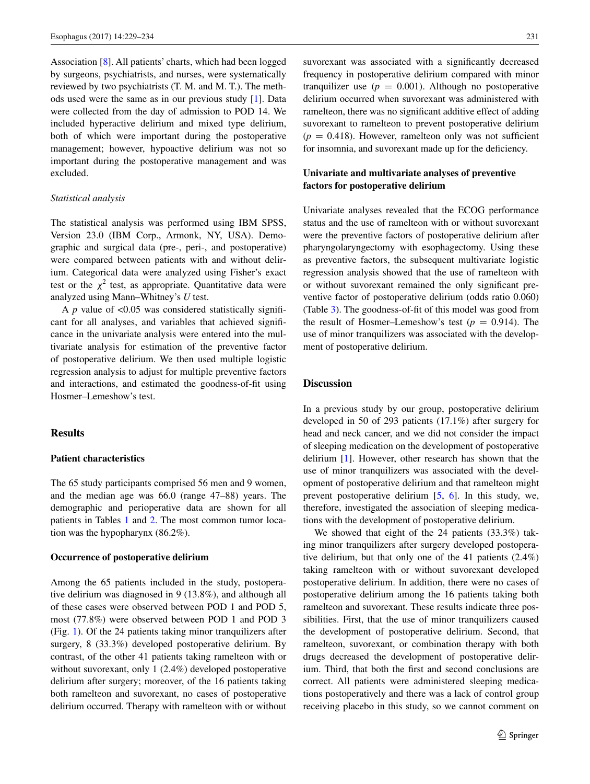Association [\[8](#page-5-7)]. All patients' charts, which had been logged by surgeons, psychiatrists, and nurses, were systematically reviewed by two psychiatrists (T. M. and M. T.). The methods used were the same as in our previous study [\[1](#page-5-0)]. Data were collected from the day of admission to POD 14. We included hyperactive delirium and mixed type delirium, both of which were important during the postoperative management; however, hypoactive delirium was not so important during the postoperative management and was excluded.

# *Statistical analysis*

The statistical analysis was performed using IBM SPSS, Version 23.0 (IBM Corp., Armonk, NY, USA). Demographic and surgical data (pre-, peri-, and postoperative) were compared between patients with and without delirium. Categorical data were analyzed using Fisher's exact test or the  $\chi^2$  test, as appropriate. Quantitative data were analyzed using Mann–Whitney's *U* test.

A *p* value of <0.05 was considered statistically signifcant for all analyses, and variables that achieved signifcance in the univariate analysis were entered into the multivariate analysis for estimation of the preventive factor of postoperative delirium. We then used multiple logistic regression analysis to adjust for multiple preventive factors and interactions, and estimated the goodness-of-ft using Hosmer–Lemeshow's test.

## **Results**

# **Patient characteristics**

The 65 study participants comprised 56 men and 9 women, and the median age was 66.0 (range 47–88) years. The demographic and perioperative data are shown for all patients in Tables [1](#page-3-0) and [2](#page-4-0). The most common tumor location was the hypopharynx (86.2%).

## **Occurrence of postoperative delirium**

Among the 65 patients included in the study, postoperative delirium was diagnosed in 9 (13.8%), and although all of these cases were observed between POD 1 and POD 5, most (77.8%) were observed between POD 1 and POD 3 (Fig. [1](#page-4-1)). Of the 24 patients taking minor tranquilizers after surgery, 8 (33.3%) developed postoperative delirium. By contrast, of the other 41 patients taking ramelteon with or without suvorexant, only 1 (2.4%) developed postoperative delirium after surgery; moreover, of the 16 patients taking both ramelteon and suvorexant, no cases of postoperative delirium occurred. Therapy with ramelteon with or without

suvorexant was associated with a significantly decreased frequency in postoperative delirium compared with minor tranquilizer use  $(p = 0.001)$ . Although no postoperative delirium occurred when suvorexant was administered with ramelteon, there was no signifcant additive effect of adding suvorexant to ramelteon to prevent postoperative delirium  $(p = 0.418)$ . However, ramelteon only was not sufficient for insomnia, and suvorexant made up for the deficiency.

# **Univariate and multivariate analyses of preventive factors for postoperative delirium**

Univariate analyses revealed that the ECOG performance status and the use of ramelteon with or without suvorexant were the preventive factors of postoperative delirium after pharyngolaryngectomy with esophagectomy. Using these as preventive factors, the subsequent multivariate logistic regression analysis showed that the use of ramelteon with or without suvorexant remained the only signifcant preventive factor of postoperative delirium (odds ratio 0.060) (Table [3](#page-4-2)). The goodness-of-ft of this model was good from the result of Hosmer–Lemeshow's test  $(p = 0.914)$ . The use of minor tranquilizers was associated with the development of postoperative delirium.

## **Discussion**

In a previous study by our group, postoperative delirium developed in 50 of 293 patients (17.1%) after surgery for head and neck cancer, and we did not consider the impact of sleeping medication on the development of postoperative delirium [\[1](#page-5-0)]. However, other research has shown that the use of minor tranquilizers was associated with the development of postoperative delirium and that ramelteon might prevent postoperative delirium [\[5](#page-5-4), [6](#page-5-5)]. In this study, we, therefore, investigated the association of sleeping medications with the development of postoperative delirium.

We showed that eight of the 24 patients (33.3%) taking minor tranquilizers after surgery developed postoperative delirium, but that only one of the 41 patients (2.4%) taking ramelteon with or without suvorexant developed postoperative delirium. In addition, there were no cases of postoperative delirium among the 16 patients taking both ramelteon and suvorexant. These results indicate three possibilities. First, that the use of minor tranquilizers caused the development of postoperative delirium. Second, that ramelteon, suvorexant, or combination therapy with both drugs decreased the development of postoperative delirium. Third, that both the frst and second conclusions are correct. All patients were administered sleeping medications postoperatively and there was a lack of control group receiving placebo in this study, so we cannot comment on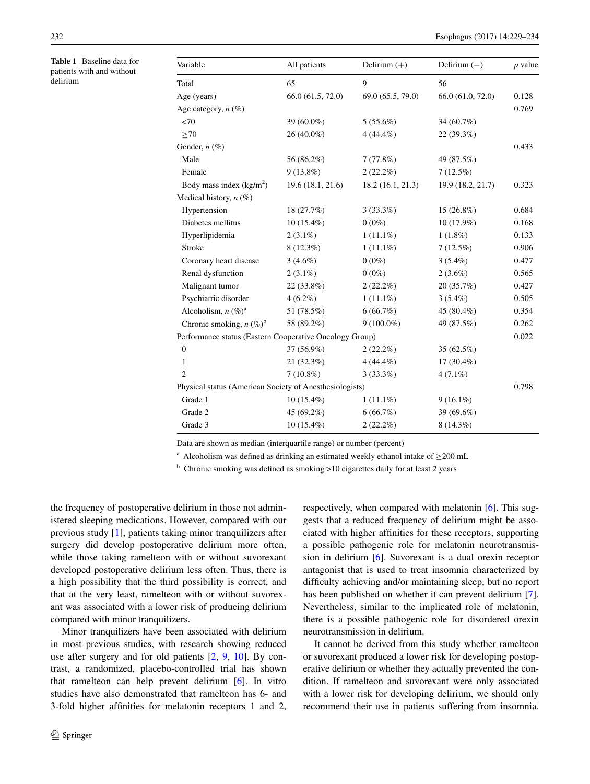<span id="page-3-0"></span>**Table 1** Baseline data for patients with and without delirium

| Variable                                                | All patients      | Delirium $(+)$    | Delirium $(-)$    | $p$ value |
|---------------------------------------------------------|-------------------|-------------------|-------------------|-----------|
| Total                                                   | 65                | 9                 | 56                |           |
| Age (years)                                             | 66.0 (61.5, 72.0) | 69.0 (65.5, 79.0) | 66.0 (61.0, 72.0) | 0.128     |
| Age category, $n(\%)$                                   |                   |                   |                   | 0.769     |
| <70                                                     | 39 (60.0%)        | $5(55.6\%)$       | 34 (60.7%)        |           |
| $\geq 70$                                               | 26 (40.0%)        | $4(44.4\%)$       | 22 (39.3%)        |           |
| Gender, $n$ (%)                                         |                   |                   |                   | 0.433     |
| Male                                                    | 56 (86.2%)        | 7(77.8%)          | 49 (87.5%)        |           |
| Female                                                  | $9(13.8\%)$       | $2(22.2\%)$       | 7(12.5%)          |           |
| Body mass index $(kg/m2)$                               | 19.6 (18.1, 21.6) | 18.2 (16.1, 21.3) | 19.9 (18.2, 21.7) | 0.323     |
| Medical history, $n$ (%)                                |                   |                   |                   |           |
| Hypertension                                            | 18 (27.7%)        | $3(33.3\%)$       | $15(26.8\%)$      | 0.684     |
| Diabetes mellitus                                       | $10(15.4\%)$      | $0(0\%)$          | $10(17.9\%)$      | 0.168     |
| Hyperlipidemia                                          | $2(3.1\%)$        | $1(11.1\%)$       | $1(1.8\%)$        | 0.133     |
| Stroke                                                  | $8(12.3\%)$       | $1(11.1\%)$       | $7(12.5\%)$       | 0.906     |
| Coronary heart disease                                  | $3(4.6\%)$        | $0(0\%)$          | $3(5.4\%)$        | 0.477     |
| Renal dysfunction                                       | $2(3.1\%)$        | $0(0\%)$          | $2(3.6\%)$        | 0.565     |
| Malignant tumor                                         | 22 (33.8%)        | $2(22.2\%)$       | 20(35.7%)         | 0.427     |
| Psychiatric disorder                                    | $4(6.2\%)$        | $1(11.1\%)$       | $3(5.4\%)$        | 0.505     |
| Alcoholism, $n (\%)^a$                                  | 51 (78.5%)        | 6(66.7%)          | 45 (80.4%)        | 0.354     |
| Chronic smoking, $n (\%)^b$                             | 58 (89.2%)        | $9(100.0\%)$      | 49 (87.5%)        | 0.262     |
| Performance status (Eastern Cooperative Oncology Group) |                   |                   |                   |           |
| $\mathbf{0}$                                            | 37 (56.9%)        | $2(22.2\%)$       | $35(62.5\%)$      |           |
| 1                                                       | 21 (32.3%)        | $4(44.4\%)$       | $17(30.4\%)$      |           |
| $\overline{2}$                                          | $7(10.8\%)$       | $3(33.3\%)$       | $4(7.1\%)$        |           |
| Physical status (American Society of Anesthesiologists) |                   |                   |                   |           |
| Grade 1                                                 | $10(15.4\%)$      | $1(11.1\%)$       | $9(16.1\%)$       |           |
| Grade 2                                                 | 45 (69.2%)        | 6(66.7%)          | 39 (69.6%)        |           |
| Grade 3                                                 | $10(15.4\%)$      | $2(22.2\%)$       | $8(14.3\%)$       |           |

Data are shown as median (interquartile range) or number (percent)

<sup>a</sup> Alcoholism was defined as drinking an estimated weekly ethanol intake of  $\geq$ 200 mL

<sup>b</sup> Chronic smoking was defined as smoking >10 cigarettes daily for at least 2 years

the frequency of postoperative delirium in those not administered sleeping medications. However, compared with our previous study [[1\]](#page-5-0), patients taking minor tranquilizers after surgery did develop postoperative delirium more often, while those taking ramelteon with or without suvorexant developed postoperative delirium less often. Thus, there is a high possibility that the third possibility is correct, and that at the very least, ramelteon with or without suvorexant was associated with a lower risk of producing delirium compared with minor tranquilizers.

Minor tranquilizers have been associated with delirium in most previous studies, with research showing reduced use after surgery and for old patients [\[2](#page-5-1), [9,](#page-5-8) [10](#page-5-9)]. By contrast, a randomized, placebo-controlled trial has shown that ramelteon can help prevent delirium [\[6](#page-5-5)]. In vitro studies have also demonstrated that ramelteon has 6- and 3-fold higher affnities for melatonin receptors 1 and 2,

respectively, when compared with melatonin [[6\]](#page-5-5). This suggests that a reduced frequency of delirium might be associated with higher affnities for these receptors, supporting a possible pathogenic role for melatonin neurotransmission in delirium [\[6](#page-5-5)]. Suvorexant is a dual orexin receptor antagonist that is used to treat insomnia characterized by difficulty achieving and/or maintaining sleep, but no report has been published on whether it can prevent delirium [\[7](#page-5-6)]. Nevertheless, similar to the implicated role of melatonin, there is a possible pathogenic role for disordered orexin neurotransmission in delirium.

It cannot be derived from this study whether ramelteon or suvorexant produced a lower risk for developing postoperative delirium or whether they actually prevented the condition. If ramelteon and suvorexant were only associated with a lower risk for developing delirium, we should only recommend their use in patients suffering from insomnia.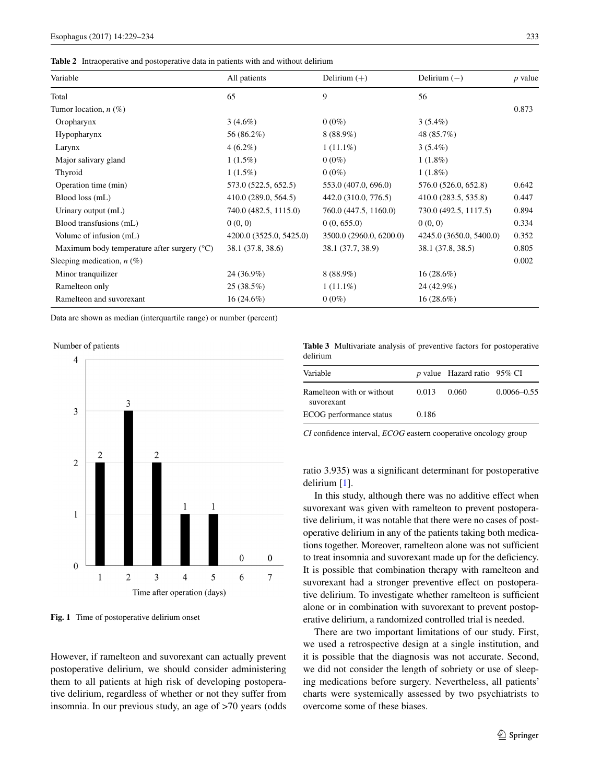#### <span id="page-4-0"></span>**Table 2** Intraoperative and postoperative data in patients with and without delirium

| Variable                                             | All patients            | Delirium $(+)$          | Delirium $(-)$          | <i>p</i> value |
|------------------------------------------------------|-------------------------|-------------------------|-------------------------|----------------|
| Total                                                | 65                      | 9                       | 56                      |                |
| Tumor location, $n$ (%)                              |                         |                         |                         | 0.873          |
| Oropharynx                                           | $3(4.6\%)$              | $0(0\%)$                | $3(5.4\%)$              |                |
| Hypopharynx                                          | 56 (86.2%)              | $8(88.9\%)$             | 48 (85.7%)              |                |
| Larynx                                               | $4(6.2\%)$              | $1(11.1\%)$             | $3(5.4\%)$              |                |
| Major salivary gland                                 | $1(1.5\%)$              | $0(0\%)$                | $1(1.8\%)$              |                |
| Thyroid                                              | $1(1.5\%)$              | $0(0\%)$                | $1(1.8\%)$              |                |
| Operation time (min)                                 | 573.0 (522.5, 652.5)    | 553.0 (407.0, 696.0)    | 576.0 (526.0, 652.8)    | 0.642          |
| Blood loss (mL)                                      | 410.0 (289.0, 564.5)    | 442.0 (310.0, 776.5)    | 410.0 (283.5, 535.8)    | 0.447          |
| Urinary output (mL)                                  | 740.0 (482.5, 1115.0)   | 760.0 (447.5, 1160.0)   | 730.0 (492.5, 1117.5)   | 0.894          |
| Blood transfusions (mL)                              | 0(0, 0)                 | 0(0, 655.0)             | 0(0, 0)                 | 0.334          |
| Volume of infusion (mL)                              | 4200.0 (3525.0, 5425.0) | 3500.0 (2960.0, 6200.0) | 4245.0 (3650.0, 5400.0) | 0.352          |
| Maximum body temperature after surgery $(^{\circ}C)$ | 38.1 (37.8, 38.6)       | 38.1 (37.7, 38.9)       | 38.1 (37.8, 38.5)       | 0.805          |
| Sleeping medication, $n(\%)$                         |                         |                         |                         | 0.002          |
| Minor tranquilizer                                   | 24 (36.9%)              | $8(88.9\%)$             | $16(28.6\%)$            |                |
| Ramelteon only                                       | 25(38.5%)               | $1(11.1\%)$             | 24 (42.9%)              |                |
| Ramelteon and suvorexant                             | $16(24.6\%)$            | $0(0\%)$                | $16(28.6\%)$            |                |

Data are shown as median (interquartile range) or number (percent)

Number of patients



<span id="page-4-1"></span>**Fig. 1** Time of postoperative delirium onset

However, if ramelteon and suvorexant can actually prevent postoperative delirium, we should consider administering them to all patients at high risk of developing postoperative delirium, regardless of whether or not they suffer from insomnia. In our previous study, an age of >70 years (odds

<span id="page-4-2"></span>**Table 3** Multivariate analysis of preventive factors for postoperative delirium

| Variable                                |       | p value Hazard ratio $95\%$ CI |                 |
|-----------------------------------------|-------|--------------------------------|-----------------|
| Ramelteon with or without<br>suvorexant | 0.013 | 0.060                          | $0.0066 - 0.55$ |
| ECOG performance status                 | 0.186 |                                |                 |

*CI* confdence interval, *ECOG* eastern cooperative oncology group

ratio 3.935) was a signifcant determinant for postoperative delirium [[1\]](#page-5-0).

In this study, although there was no additive effect when suvorexant was given with ramelteon to prevent postoperative delirium, it was notable that there were no cases of postoperative delirium in any of the patients taking both medications together. Moreover, ramelteon alone was not sufficient to treat insomnia and suvorexant made up for the defciency. It is possible that combination therapy with ramelteon and suvorexant had a stronger preventive effect on postoperative delirium. To investigate whether ramelteon is sufficient alone or in combination with suvorexant to prevent postoperative delirium, a randomized controlled trial is needed.

There are two important limitations of our study. First, we used a retrospective design at a single institution, and it is possible that the diagnosis was not accurate. Second, we did not consider the length of sobriety or use of sleeping medications before surgery. Nevertheless, all patients' charts were systemically assessed by two psychiatrists to overcome some of these biases.